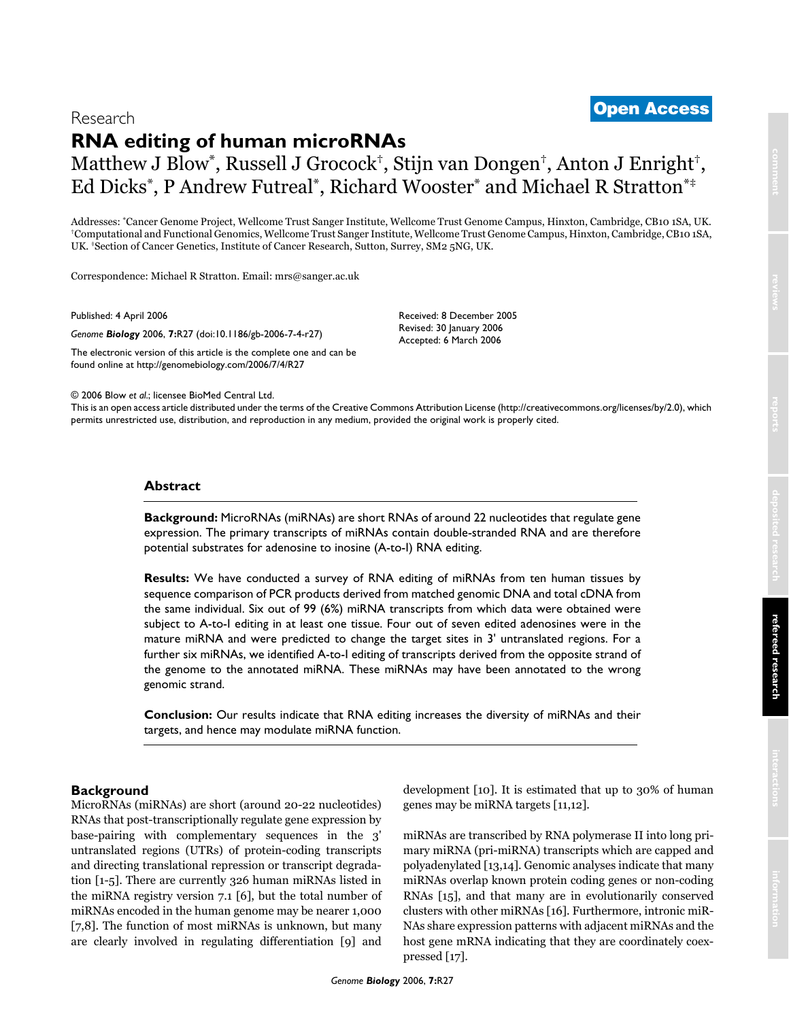# <sup>2006</sup> Blow et al. Volume 7, Issue 4, Article R27 **[Open Access](http://www.biomedcentral.com/info/about/charter/)** Research

# **RNA editing of human microRNAs**

# Matthew J Blow\*, Russell J Grocock†, Stijn van Dongen†, Anton J Enright†, Ed Dicks\*, P Andrew Futreal\*, Richard Wooster\* and Michael R Stratton\*‡

Addresses: "Cancer Genome Project, Wellcome Trust Sanger Institute, Wellcome Trust Genome Campus, Hinxton, Cambridge, CB10 1SA, UK.<br>"Computational and Functional Genomics, Wellcome Trust Sanger Institute, Wellcome Trust Ge UK. ‡Section of Cancer Genetics, Institute of Cancer Research, Sutton, Surrey, SM2 5NG, UK.

Correspondence: Michael R Stratton. Email: mrs@sanger.ac.uk

Published: 4 April 2006

*Genome Biology* 2006, **7:**R27 (doi:10.1186/gb-2006-7-4-r27)

[The electronic version of this article is the complete one and can be](http://genomebiology.com/2006/7/4/R27)  found online at http://genomebiology.com/2006/7/4/R27

Received: 8 December 2005 Revised: 30 January 2006 Accepted: 6 March 2006

© 2006 Blow *et al*.; licensee BioMed Central Ltd.

[This is an open access article distributed under the terms of the Creative Commons Attribution License \(http://creativecommons.org/licenses/by/2.0\), which](http://creativecommons.org/licenses/by/2.0)  permits unrestricted use, distribution, and reproduction in any medium, provided the original work is properly cited.

# **Abstract**

**Background:** MicroRNAs (miRNAs) are short RNAs of around 22 nucleotides that regulate gene expression. The primary transcripts of miRNAs contain double-stranded RNA and are therefore potential substrates for adenosine to inosine (A-to-I) RNA editing.

**Results:** We have conducted a survey of RNA editing of miRNAs from ten human tissues by sequence comparison of PCR products derived from matched genomic DNA and total cDNA from the same individual. Six out of 99 (6%) miRNA transcripts from which data were obtained were subject to A-to-I editing in at least one tissue. Four out of seven edited adenosines were in the mature miRNA and were predicted to change the target sites in 3' untranslated regions. For a further six miRNAs, we identified A-to-I editing of transcripts derived from the opposite strand of the genome to the annotated miRNA. These miRNAs may have been annotated to the wrong genomic strand.

**Conclusion:** Our results indicate that RNA editing increases the diversity of miRNAs and their targets, and hence may modulate miRNA function.

# **Background**

MicroRNAs (miRNAs) are short (around 20-22 nucleotides) RNAs that post-transcriptionally regulate gene expression by base-pairing with complementary sequences in the 3' untranslated regions (UTRs) of protein-coding transcripts and directing translational repression or transcript degradation [1-5]. There are currently 326 human miRNAs listed in the miRNA registry version 7.1 [6], but the total number of miRNAs encoded in the human genome may be nearer 1,000 [7,8]. The function of most miRNAs is unknown, but many are clearly involved in regulating differentiation [9] and development [10]. It is estimated that up to 30% of human genes may be miRNA targets [11,12].

miRNAs are transcribed by RNA polymerase II into long primary miRNA (pri-miRNA) transcripts which are capped and polyadenylated [13,14]. Genomic analyses indicate that many miRNAs overlap known protein coding genes or non-coding RNAs [15], and that many are in evolutionarily conserved clusters with other miRNAs [16]. Furthermore, intronic miR-NAs share expression patterns with adjacent miRNAs and the host gene mRNA indicating that they are coordinately coexpressed [17].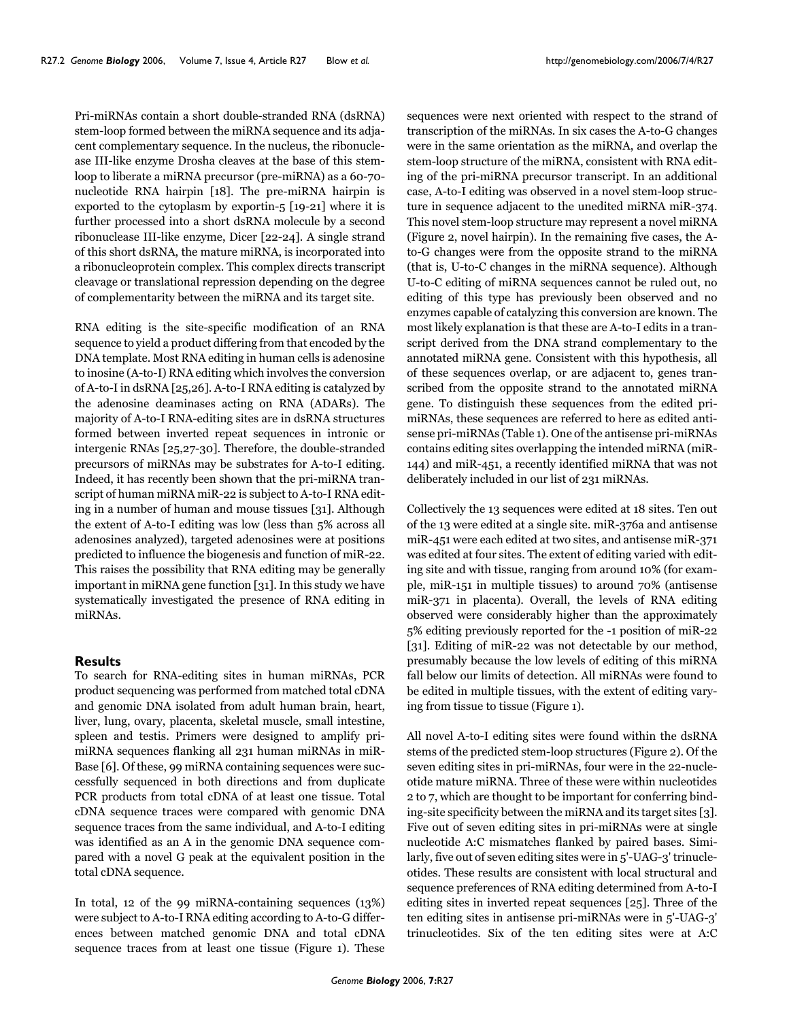Pri-miRNAs contain a short double-stranded RNA (dsRNA) stem-loop formed between the miRNA sequence and its adjacent complementary sequence. In the nucleus, the ribonuclease III-like enzyme Drosha cleaves at the base of this stemloop to liberate a miRNA precursor (pre-miRNA) as a 60-70 nucleotide RNA hairpin [18]. The pre-miRNA hairpin is exported to the cytoplasm by exportin-5 [19-21] where it is further processed into a short dsRNA molecule by a second ribonuclease III-like enzyme, Dicer [22-24]. A single strand of this short dsRNA, the mature miRNA, is incorporated into a ribonucleoprotein complex. This complex directs transcript cleavage or translational repression depending on the degree of complementarity between the miRNA and its target site.

RNA editing is the site-specific modification of an RNA sequence to yield a product differing from that encoded by the DNA template. Most RNA editing in human cells is adenosine to inosine (A-to-I) RNA editing which involves the conversion of A-to-I in dsRNA [25,26]. A-to-I RNA editing is catalyzed by the adenosine deaminases acting on RNA (ADARs). The majority of A-to-I RNA-editing sites are in dsRNA structures formed between inverted repeat sequences in intronic or intergenic RNAs [25,27-30]. Therefore, the double-stranded precursors of miRNAs may be substrates for A-to-I editing. Indeed, it has recently been shown that the pri-miRNA transcript of human miRNA miR-22 is subject to A-to-I RNA editing in a number of human and mouse tissues [31]. Although the extent of A-to-I editing was low (less than 5% across all adenosines analyzed), targeted adenosines were at positions predicted to influence the biogenesis and function of miR-22. This raises the possibility that RNA editing may be generally important in miRNA gene function [31]. In this study we have systematically investigated the presence of RNA editing in miRNAs.

## **Results**

To search for RNA-editing sites in human miRNAs, PCR product sequencing was performed from matched total cDNA and genomic DNA isolated from adult human brain, heart, liver, lung, ovary, placenta, skeletal muscle, small intestine, spleen and testis. Primers were designed to amplify primiRNA sequences flanking all 231 human miRNAs in miR-Base [6]. Of these, 99 miRNA containing sequences were successfully sequenced in both directions and from duplicate PCR products from total cDNA of at least one tissue. Total cDNA sequence traces were compared with genomic DNA sequence traces from the same individual, and A-to-I editing was identified as an A in the genomic DNA sequence compared with a novel G peak at the equivalent position in the total cDNA sequence.

In total, 12 of the 99 miRNA-containing sequences (13%) were subject to A-to-I RNA editing according to A-to-G differences between matched genomic DNA and total cDNA sequence traces from at least one tissue (Figure [1\)](#page-2-0). These

sequences were next oriented with respect to the strand of transcription of the miRNAs. In six cases the A-to-G changes were in the same orientation as the miRNA, and overlap the stem-loop structure of the miRNA, consistent with RNA editing of the pri-miRNA precursor transcript. In an additional case, A-to-I editing was observed in a novel stem-loop structure in sequence adjacent to the unedited miRNA miR-374. This novel stem-loop structure may represent a novel miRNA (Figure [2,](#page-3-0) novel hairpin). In the remaining five cases, the Ato-G changes were from the opposite strand to the miRNA (that is, U-to-C changes in the miRNA sequence). Although U-to-C editing of miRNA sequences cannot be ruled out, no editing of this type has previously been observed and no enzymes capable of catalyzing this conversion are known. The most likely explanation is that these are A-to-I edits in a transcript derived from the DNA strand complementary to the annotated miRNA gene. Consistent with this hypothesis, all of these sequences overlap, or are adjacent to, genes transcribed from the opposite strand to the annotated miRNA gene. To distinguish these sequences from the edited primiRNAs, these sequences are referred to here as edited antisense pri-miRNAs (Table [1](#page-4-0)). One of the antisense pri-miRNAs contains editing sites overlapping the intended miRNA (miR-144) and miR-451, a recently identified miRNA that was not deliberately included in our list of 231 miRNAs.

Collectively the 13 sequences were edited at 18 sites. Ten out of the 13 were edited at a single site. miR-376a and antisense miR-451 were each edited at two sites, and antisense miR-371 was edited at four sites. The extent of editing varied with editing site and with tissue, ranging from around 10% (for example, miR-151 in multiple tissues) to around 70% (antisense miR-371 in placenta). Overall, the levels of RNA editing observed were considerably higher than the approximately 5% editing previously reported for the -1 position of miR-22 [31]. Editing of miR-22 was not detectable by our method, presumably because the low levels of editing of this miRNA fall below our limits of detection. All miRNAs were found to be edited in multiple tissues, with the extent of editing varying from tissue to tissue (Figure [1\)](#page-2-0).

All novel A-to-I editing sites were found within the dsRNA stems of the predicted stem-loop structures (Figure [2\)](#page-3-0). Of the seven editing sites in pri-miRNAs, four were in the 22-nucleotide mature miRNA. Three of these were within nucleotides 2 to 7, which are thought to be important for conferring binding-site specificity between the miRNA and its target sites [3]. Five out of seven editing sites in pri-miRNAs were at single nucleotide A:C mismatches flanked by paired bases. Similarly, five out of seven editing sites were in 5'-UAG-3' trinucleotides. These results are consistent with local structural and sequence preferences of RNA editing determined from A-to-I editing sites in inverted repeat sequences [25]. Three of the ten editing sites in antisense pri-miRNAs were in 5'-UAG-3' trinucleotides. Six of the ten editing sites were at A:C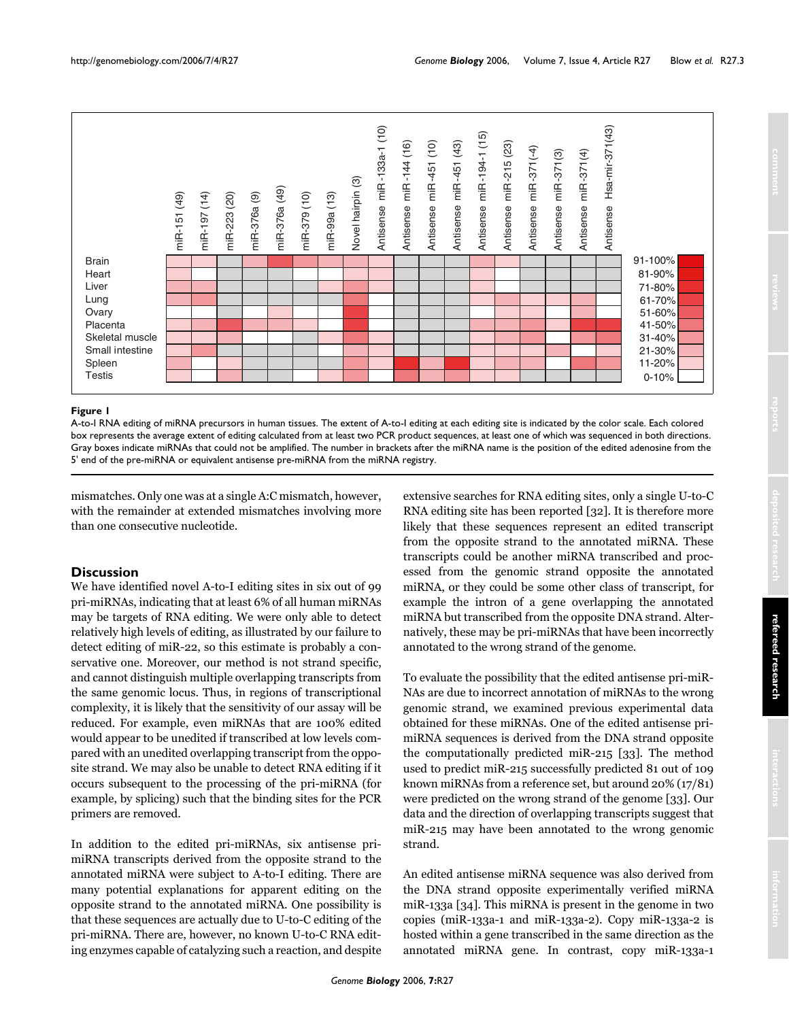<span id="page-2-0"></span>

# **Figure I**

A-to-I RNA editing of miRNA precursors in human tissues. The extent of A-to-I editing at each editing site is indicated by the color scale. Each colored box represents the average extent of editing calculated from at least two PCR product sequences, at least one of which was sequenced in both directions. Gray boxes indicate miRNAs that could not be amplified. The number in brackets after the miRNA name is the position of the edited adenosine from the

mismatches. Only one was at a single A:C mismatch, however, with the remainder at extended mismatches involving more than one consecutive nucleotide.

# **Discussion**

We have identified novel A-to-I editing sites in six out of 99 pri-miRNAs, indicating that at least 6% of all human miRNAs may be targets of RNA editing. We were only able to detect relatively high levels of editing, as illustrated by our failure to detect editing of miR-22, so this estimate is probably a conservative one. Moreover, our method is not strand specific, and cannot distinguish multiple overlapping transcripts from the same genomic locus. Thus, in regions of transcriptional complexity, it is likely that the sensitivity of our assay will be reduced. For example, even miRNAs that are 100% edited would appear to be unedited if transcribed at low levels compared with an unedited overlapping transcript from the opposite strand. We may also be unable to detect RNA editing if it occurs subsequent to the processing of the pri-miRNA (for example, by splicing) such that the binding sites for the PCR primers are removed.

In addition to the edited pri-miRNAs, six antisense primiRNA transcripts derived from the opposite strand to the annotated miRNA were subject to A-to-I editing. There are many potential explanations for apparent editing on the opposite strand to the annotated miRNA. One possibility is that these sequences are actually due to U-to-C editing of the pri-miRNA. There are, however, no known U-to-C RNA editing enzymes capable of catalyzing such a reaction, and despite extensive searches for RNA editing sites, only a single U-to-C RNA editing site has been reported [32]. It is therefore more likely that these sequences represent an edited transcript from the opposite strand to the annotated miRNA. These transcripts could be another miRNA transcribed and processed from the genomic strand opposite the annotated miRNA, or they could be some other class of transcript, for example the intron of a gene overlapping the annotated miRNA but transcribed from the opposite DNA strand. Alternatively, these may be pri-miRNAs that have been incorrectly annotated to the wrong strand of the genome.

To evaluate the possibility that the edited antisense pri-miR-NAs are due to incorrect annotation of miRNAs to the wrong genomic strand, we examined previous experimental data obtained for these miRNAs. One of the edited antisense primiRNA sequences is derived from the DNA strand opposite the computationally predicted miR-215 [33]. The method used to predict miR-215 successfully predicted 81 out of 109 known miRNAs from a reference set, but around 20% (17/81) were predicted on the wrong strand of the genome [33]. Our data and the direction of overlapping transcripts suggest that miR-215 may have been annotated to the wrong genomic strand.

An edited antisense miRNA sequence was also derived from the DNA strand opposite experimentally verified miRNA miR-133a [34]. This miRNA is present in the genome in two copies (miR-133a-1 and miR-133a-2). Copy miR-133a-2 is hosted within a gene transcribed in the same direction as the annotated miRNA gene. In contrast, copy miR-133a-1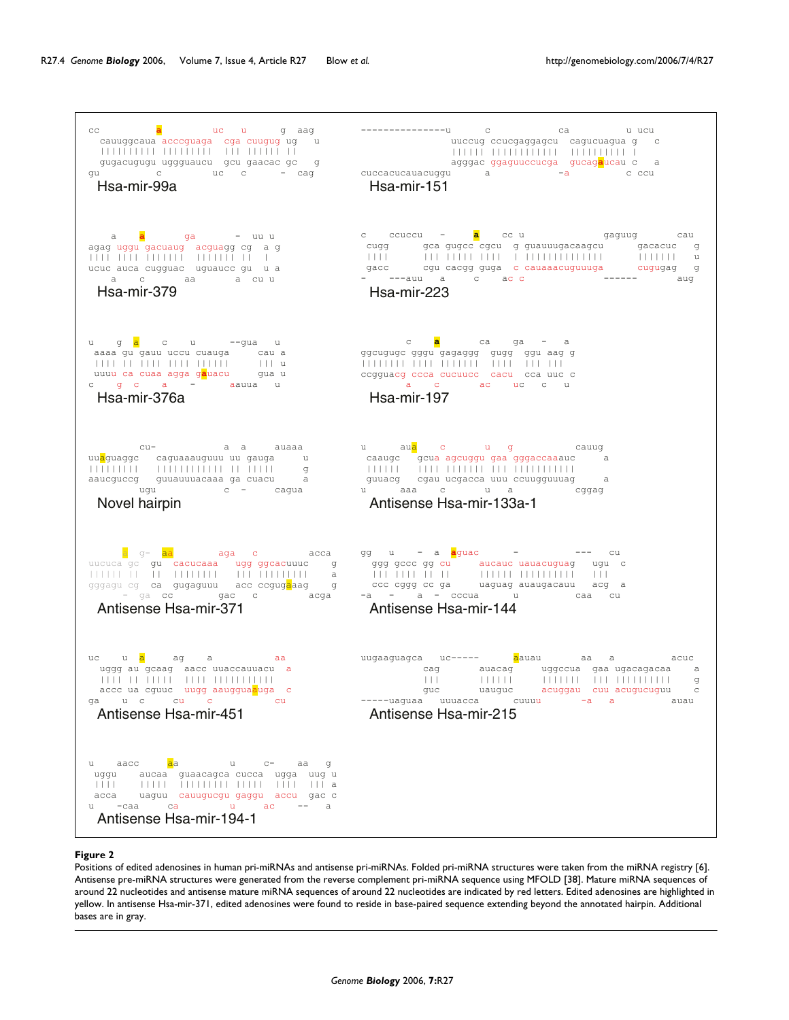<span id="page-3-0"></span>

#### **Figure 2**

Positions of edited adenosines in human pri-miRNAs and antisense pri-miRNAs. Folded pri-miRNA structures were taken from the miRNA registry [6]. Antisense pre-miRNA structures were generated from the reverse complement pri-miRNA sequence using MFOLD [38]. Mature miRNA sequences of around 22 nucleotides and antisense mature miRNA sequences of around 22 nucleotides are indicated by red letters. Edited adenosines are highlighted in yellow. In antisense Hsa-mir-371, edited adenosines were found to reside in base-paired sequence extending beyond the annotated hairpin. Additional bases are in gray.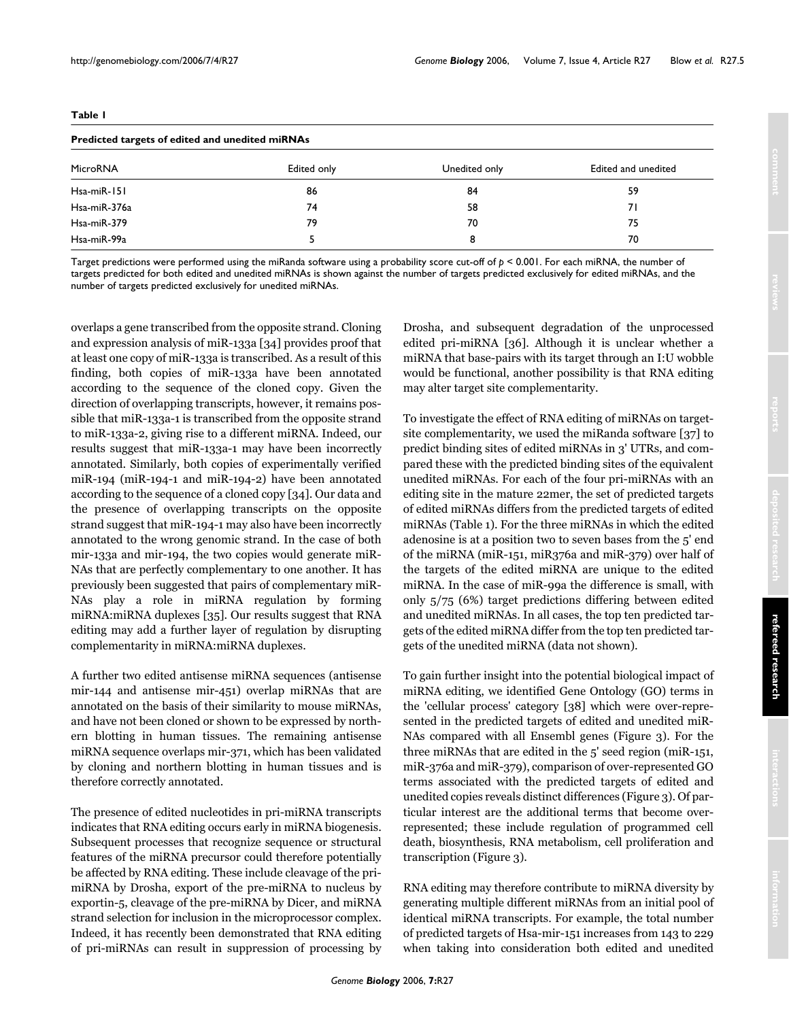| Predicted targets of edited and unedited miRNAs |             |               |                     |
|-------------------------------------------------|-------------|---------------|---------------------|
| <b>MicroRNA</b>                                 | Edited only | Unedited only | Edited and unedited |
| Hsa-miR-151                                     | 86          | 84            | 59                  |
| Hsa-miR-376a                                    | 74          | 58            | 71                  |
| $H$ sa-mi $R-379$                               | 79          | 70            | 75                  |
|                                                 |             |               |                     |

<span id="page-4-0"></span>**Table 1**

#### Target predictions were performed using the miRanda software using a probability score cut-off of *p* < 0.001. For each miRNA, the number of targets predicted for both edited and unedited miRNAs is shown against the number of targets predicted exclusively for edited miRNAs, and the number of targets predicted exclusively for unedited miRNAs.

Hsa-miR-99a 5 8 70

overlaps a gene transcribed from the opposite strand. Cloning and expression analysis of miR-133a [34] provides proof that at least one copy of miR-133a is transcribed. As a result of this finding, both copies of miR-133a have been annotated according to the sequence of the cloned copy. Given the direction of overlapping transcripts, however, it remains possible that miR-133a-1 is transcribed from the opposite strand to miR-133a-2, giving rise to a different miRNA. Indeed, our results suggest that miR-133a-1 may have been incorrectly annotated. Similarly, both copies of experimentally verified miR-194 (miR-194-1 and miR-194-2) have been annotated according to the sequence of a cloned copy [34]. Our data and the presence of overlapping transcripts on the opposite strand suggest that miR-194-1 may also have been incorrectly annotated to the wrong genomic strand. In the case of both mir-133a and mir-194, the two copies would generate miR-NAs that are perfectly complementary to one another. It has previously been suggested that pairs of complementary miR-NAs play a role in miRNA regulation by forming miRNA:miRNA duplexes [35]. Our results suggest that RNA editing may add a further layer of regulation by disrupting complementarity in miRNA:miRNA duplexes.

A further two edited antisense miRNA sequences (antisense mir-144 and antisense mir-451) overlap miRNAs that are annotated on the basis of their similarity to mouse miRNAs, and have not been cloned or shown to be expressed by northern blotting in human tissues. The remaining antisense miRNA sequence overlaps mir-371, which has been validated by cloning and northern blotting in human tissues and is therefore correctly annotated.

The presence of edited nucleotides in pri-miRNA transcripts indicates that RNA editing occurs early in miRNA biogenesis. Subsequent processes that recognize sequence or structural features of the miRNA precursor could therefore potentially be affected by RNA editing. These include cleavage of the primiRNA by Drosha, export of the pre-miRNA to nucleus by exportin-5, cleavage of the pre-miRNA by Dicer, and miRNA strand selection for inclusion in the microprocessor complex. Indeed, it has recently been demonstrated that RNA editing of pri-miRNAs can result in suppression of processing by

Drosha, and subsequent degradation of the unprocessed edited pri-miRNA [36]. Although it is unclear whether a miRNA that base-pairs with its target through an I:U wobble would be functional, another possibility is that RNA editing may alter target site complementarity.

To investigate the effect of RNA editing of miRNAs on targetsite complementarity, we used the miRanda software [37] to predict binding sites of edited miRNAs in 3' UTRs, and compared these with the predicted binding sites of the equivalent unedited miRNAs. For each of the four pri-miRNAs with an editing site in the mature 22mer, the set of predicted targets of edited miRNAs differs from the predicted targets of edited miRNAs (Table [1](#page-4-0)). For the three miRNAs in which the edited adenosine is at a position two to seven bases from the 5' end of the miRNA (miR-151, miR376a and miR-379) over half of the targets of the edited miRNA are unique to the edited miRNA. In the case of miR-99a the difference is small, with only 5/75 (6%) target predictions differing between edited and unedited miRNAs. In all cases, the top ten predicted targets of the edited miRNA differ from the top ten predicted targets of the unedited miRNA (data not shown).

To gain further insight into the potential biological impact of miRNA editing, we identified Gene Ontology (GO) terms in the 'cellular process' category [38] which were over-represented in the predicted targets of edited and unedited miR-NAs compared with all Ensembl genes (Figure [3](#page-5-0)). For the three miRNAs that are edited in the 5' seed region (miR-151, miR-376a and miR-379), comparison of over-represented GO terms associated with the predicted targets of edited and unedited copies reveals distinct differences (Figure [3\)](#page-5-0). Of particular interest are the additional terms that become overrepresented; these include regulation of programmed cell death, biosynthesis, RNA metabolism, cell proliferation and transcription (Figure [3](#page-5-0)).

RNA editing may therefore contribute to miRNA diversity by generating multiple different miRNAs from an initial pool of identical miRNA transcripts. For example, the total number of predicted targets of Hsa-mir-151 increases from 143 to 229 when taking into consideration both edited and unedited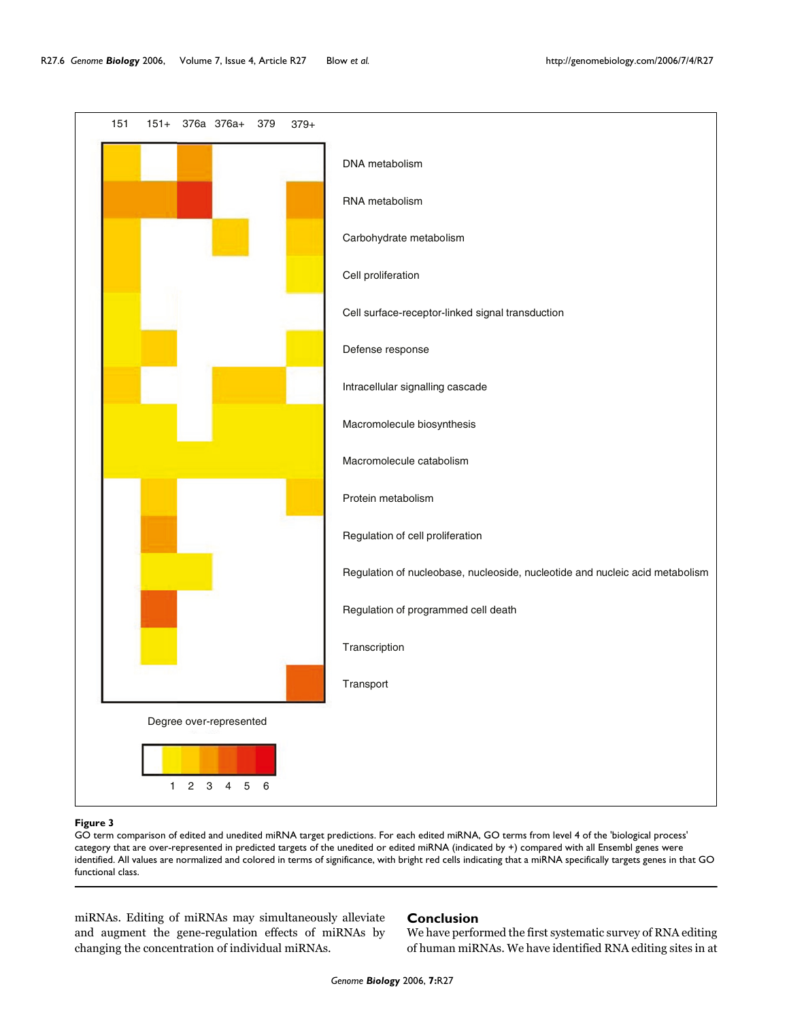<span id="page-5-0"></span>151 151+ 376a 376a+ 379 DNA metabolism RNA metabolism Carbohydrate metabolism Cell proliferation Cell surface-receptor-linked signal transduction Defense response Intracellular signalling cascade Macromolecule biosynthesis Macromolecule catabolism Protein metabolism Regulation of cell proliferation Regulation of nucleobase, nucleoside, nucleotide and nucleic acid metabolism Regulation of programmed cell death **Transcription** Transport 379+

GO term comparison of edited and unedited miRNA target predictions. For each edited miRNA, GO terms from level 4 of the 'biological process' category that are over-represented in predicted targets of the unedited or edited miRNA (indicated by +) compared with all Ensembl genes were identified. All values are normalized and colored in terms of significance, with bright red cells indicating that a miRNA specifically targets genes in that GO functional class.

miRNAs. Editing of miRNAs may simultaneously alleviate and augment the gene-regulation effects of miRNAs by changing the concentration of individual miRNAs.

Degree over-represented

123456

# **Conclusion**

We have performed the first systematic survey of RNA editing of human miRNAs. We have identified RNA editing sites in at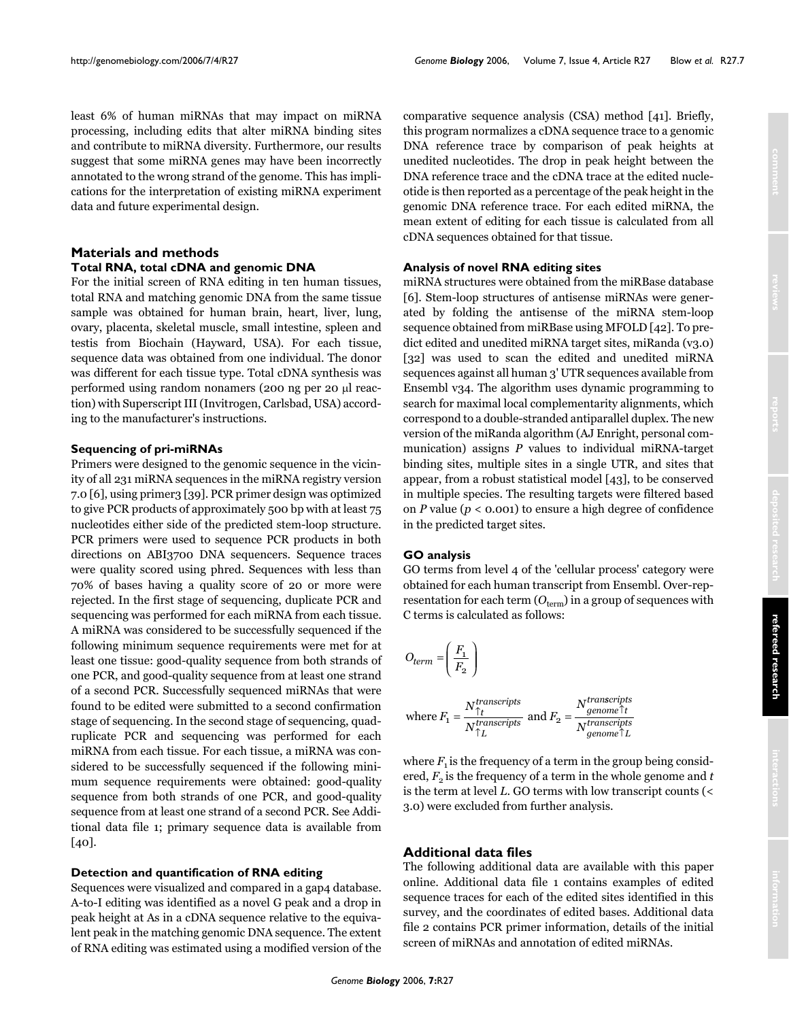least 6% of human miRNAs that may impact on miRNA processing, including edits that alter miRNA binding sites and contribute to miRNA diversity. Furthermore, our results suggest that some miRNA genes may have been incorrectly annotated to the wrong strand of the genome. This has implications for the interpretation of existing miRNA experiment data and future experimental design.

# **Materials and methods Total RNA, total cDNA and genomic DNA**

For the initial screen of RNA editing in ten human tissues, total RNA and matching genomic DNA from the same tissue sample was obtained for human brain, heart, liver, lung, ovary, placenta, skeletal muscle, small intestine, spleen and testis from Biochain (Hayward, USA). For each tissue, sequence data was obtained from one individual. The donor was different for each tissue type. Total cDNA synthesis was performed using random nonamers (200 ng per 20 µl reaction) with Superscript III (Invitrogen, Carlsbad, USA) according to the manufacturer's instructions.

### **Sequencing of pri-miRNAs**

Primers were designed to the genomic sequence in the vicinity of all 231 miRNA sequences in the miRNA registry version 7.0 [6], using primer3 [39]. PCR primer design was optimized to give PCR products of approximately 500 bp with at least 75 nucleotides either side of the predicted stem-loop structure. PCR primers were used to sequence PCR products in both directions on ABI3700 DNA sequencers. Sequence traces were quality scored using phred. Sequences with less than 70% of bases having a quality score of 20 or more were rejected. In the first stage of sequencing, duplicate PCR and sequencing was performed for each miRNA from each tissue. A miRNA was considered to be successfully sequenced if the following minimum sequence requirements were met for at least one tissue: good-quality sequence from both strands of one PCR, and good-quality sequence from at least one strand of a second PCR. Successfully sequenced miRNAs that were found to be edited were submitted to a second confirmation stage of sequencing. In the second stage of sequencing, quadruplicate PCR and sequencing was performed for each miRNA from each tissue. For each tissue, a miRNA was considered to be successfully sequenced if the following minimum sequence requirements were obtained: good-quality sequence from both strands of one PCR, and good-quality sequence from at least one strand of a second PCR. See Additional data file 1; primary sequence data is available from [40].

#### **Detection and quantification of RNA editing**

Sequences were visualized and compared in a gap4 database. A-to-I editing was identified as a novel G peak and a drop in peak height at As in a cDNA sequence relative to the equivalent peak in the matching genomic DNA sequence. The extent of RNA editing was estimated using a modified version of the

comparative sequence analysis (CSA) method [41]. Briefly, this program normalizes a cDNA sequence trace to a genomic DNA reference trace by comparison of peak heights at unedited nucleotides. The drop in peak height between the DNA reference trace and the cDNA trace at the edited nucleotide is then reported as a percentage of the peak height in the genomic DNA reference trace. For each edited miRNA, the mean extent of editing for each tissue is calculated from all cDNA sequences obtained for that tissue.

### **Analysis of novel RNA editing sites**

miRNA structures were obtained from the miRBase database [6]. Stem-loop structures of antisense miRNAs were generated by folding the antisense of the miRNA stem-loop sequence obtained from miRBase using MFOLD [42]. To predict edited and unedited miRNA target sites, miRanda (v3.0) [32] was used to scan the edited and unedited miRNA sequences against all human 3' UTR sequences available from Ensembl v34. The algorithm uses dynamic programming to search for maximal local complementarity alignments, which correspond to a double-stranded antiparallel duplex. The new version of the miRanda algorithm (AJ Enright, personal communication) assigns *P* values to individual miRNA-target binding sites, multiple sites in a single UTR, and sites that appear, from a robust statistical model [43], to be conserved in multiple species. The resulting targets were filtered based on *P* value (*p* < 0.001) to ensure a high degree of confidence in the predicted target sites.

#### **GO analysis**

GO terms from level 4 of the 'cellular process' category were obtained for each human transcript from Ensembl. Over-representation for each term  $(O_{term})$  in a group of sequences with C terms is calculated as follows:

$$
O_{term} = \left(\frac{F_1}{F_2}\right)
$$

where 
$$
F_1 = \frac{N_{\uparrow t}^{transcripts}}{N_{\uparrow L}^{transcripts}}
$$
 and  $F_2 = \frac{N_{genome}^{transcripts}}{N_{genome}^{transcripts}}$ 

where  $F_1$  is the frequency of a term in the group being considered,  $F<sub>2</sub>$  is the frequency of a term in the whole genome and  $t$ is the term at level *L*. GO terms with low transcript counts (< 3.0) were excluded from further analysis.

# **Additional data files**

The following additional data are available with this paper online. Additional data file 1 contains examples of edited sequence traces for each of the edited sites identified in this survey, and the coordinates of edited bases. Additional data file 2 contains PCR primer information, details of the initial screen of miRNAs and annotation of edited miRNAs.